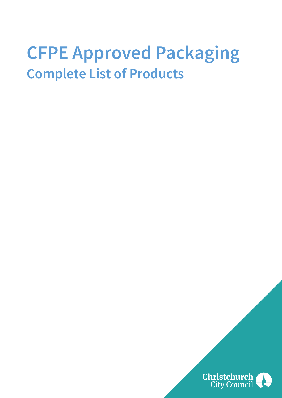# **CFPE Approved Packaging Complete List of Products**

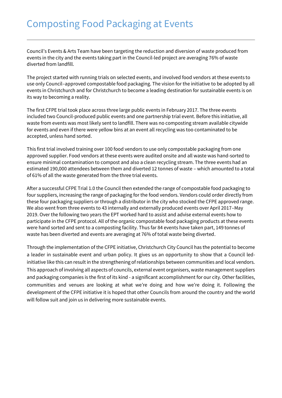Council's Events & Arts Team have been targeting the reduction and diversion of waste produced from events in the city and the events taking part in the Council-led project are averaging 76% of waste diverted from landfill.

The project started with running trials on selected events, and involved food vendors at these events to use only Council–approved compostable food packaging. The vision for the initiative to be adopted by all events in Christchurch and for Christchurch to become a leading destination for sustainable events is on its way to becoming a reality.

The first CFPE trial took place across three large public events in February 2017. The three events included two Council-produced public events and one partnership trial event. Before this initiative, all waste from events was most likely sent to landfill. There was no composting stream available citywide for events and even if there were yellow bins at an event all recycling was too contaminated to be accepted, unless hand sorted.

This first trial involved training over 100 food vendors to use only compostable packaging from one approved supplier. Food vendors at these events were audited onsite and all waste was hand-sorted to ensure minimal contamination to compost and also a clean recycling stream. The three events had an estimated 190,000 attendees between them and diverted 12 tonnes of waste – which amounted to a total of 61% of all the waste generated from the three trial events.

After a successful CFPE Trial 1.0 the Council then extended the range of compostable food packaging to four suppliers, increasing the range of packaging for the food vendors. Vendors could order directly from these four packaging suppliers or through a distributor in the city who stocked the CFPE approved range. We also went from three events to 43 internally and externally produced events over April 2017–May 2019. Over the following two years the EPT worked hard to assist and advise external events how to participate in the CFPE protocol. All of the organic compostable food packaging products at these events were hand sorted and sent to a composting facility. Thus far 84 events have taken part, 149 tonnes of waste has been diverted and events are averaging at 76% of total waste being diverted.

Through the implementation of the CFPE initiative, Christchurch City Council has the potential to become a leader in sustainable event and urban policy. It gives us an opportunity to show that a Council ledinitiative like this can result in the strengthening of relationships between communities and local vendors. This approach of involving all aspects of councils, external event organisers, waste management suppliers and packaging companies is the first of its kind - a significant accomplishment for our city. Other facilities, communities and venues are looking at what we're doing and how we're doing it. Following the development of the CFPE initiative it is hoped that other Councils from around the country and the world will follow suit and join us in delivering more sustainable events.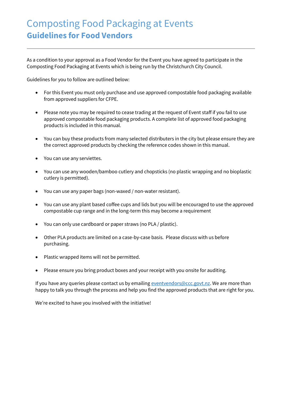### Composting Food Packaging at Events **Guidelines for Food Vendors**

As a condition to your approval as a Food Vendor for the Event you have agreed to participate in the Composting Food Packaging at Events which is being run by the Christchurch City Council.

Guidelines for you to follow are outlined below:

- For this Event you must only purchase and use approved compostable food packaging available from approved suppliers for CFPE.
- Please note you may be required to cease trading at the request of Event staff if you fail to use approved compostable food packaging products. A complete list of approved food packaging products is included in this manual.
- You can buy these products from many selected distributers in the city but please ensure they are the correct approved products by checking the reference codes shown in this manual.
- You can use any serviettes.
- You can use any wooden/bamboo cutlery and chopsticks (no plastic wrapping and no bioplastic cutlery is permitted).
- You can use any paper bags (non-waxed / non-water resistant).
- You can use any plant based coffee cups and lids but you will be encouraged to use the approved compostable cup range and in the long-term this may become a requirement
- You can only use cardboard or paper straws (no PLA / plastic).
- Other PLA products are limited on a case-by-case basis. Please discuss with us before purchasing.
- Plastic wrapped items will not be permitted.
- Please ensure you bring product boxes and your receipt with you onsite for auditing.

If you have any queries please contact us by emailing [eventvendors@ccc.govt.nz.](mailto:eventvendors@ccc.govt.nz) We are more than happy to talk you through the process and help you find the approved products that are right for you.

We're excited to have you involved with the initiative!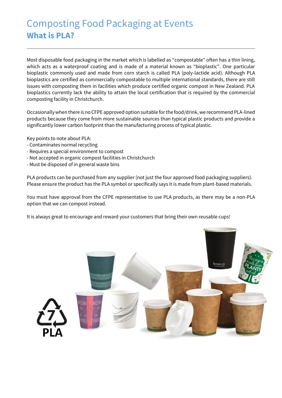### Composting Food Packaging at Events **What is PLA?**

Most disposable food packaging in the market which is labelled as "compostable" often has a thin lining, which acts as a waterproof coating and is made of a material known as "bioplastic". One particular bioplastic commonly used and made from corn starch is called PLA (poly-lactide acid). Although PLA bioplastics are certified as commercially compostable to multiple international standards, there are still issues with composting them in facilities which produce certified organic compost in New Zealand. PLA bioplastics currently lack the ability to attain the local certification that is required by the commercial composting facility in Christchurch.

Occasionally when there is no CFPE approved option suitable for the food/drink, we recommend PLA-lined products because they come from more sustainable sources than typical plastic products and provide a significantly lower carbon footprint than the manufacturing process of typical plastic.

Key points to note about PLA:

- Contaminates normal recycling
- Requires a special environment to compost
- Not accepted in organic compost facilities in Christchurch
- Must be disposed of in general waste bins

PLA products can be purchased from any supplier (not just the four approved food packaging suppliers). Please ensure the product has the PLA symbol or specifically says it is made from plant-based materials.

You must have approval from the CFPE representative to use PLA products, as there may be a non-PLA option that we can compost instead.

It is always great to encourage and reward your customers that bring their own reusable cups!

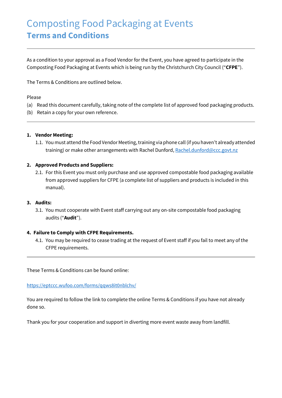### Composting Food Packaging at Events **Terms and Conditions**

As a condition to your approval as a Food Vendor for the Event, you have agreed to participate in the Composting Food Packaging at Events which is being run by the Christchurch City Council ("**CFPE**").

The Terms & Conditions are outlined below.

#### Please

- (a) Read this document carefully, taking note of the complete list of approved food packaging products.
- (b) Retain a copy for your own reference.

#### **1. Vendor Meeting:**

1.1. You must attend the Food Vendor Meeting, training via phone call (if you haven't already attended training) or make other arrangements with Rachel Dunford[, Rachel.dunford@ccc.govt.nz](mailto:Rachel.dunford@ccc.govt.nz)

#### **2. Approved Products and Suppliers:**

2.1. For this Event you must only purchase and use approved compostable food packaging available from approved suppliers for CFPE (a complete list of suppliers and products is included in this manual).

#### **3. Audits:**

3.1. You must cooperate with Event staff carrying out any on-site compostable food packaging audits ("**Audit**").

#### **4. Failure to Comply with CFPE Requirements.**

4.1. You may be required to cease trading at the request of Event staff if you fail to meet any of the CFPE requirements.

These Terms & Conditions can be found online:

<https://eptccc.wufoo.com/forms/qqws8it0nblchv/>

You are required to follow the link to complete the online Terms & Conditions if you have not already done so.

Thank you for your cooperation and support in diverting more event waste away from landfill.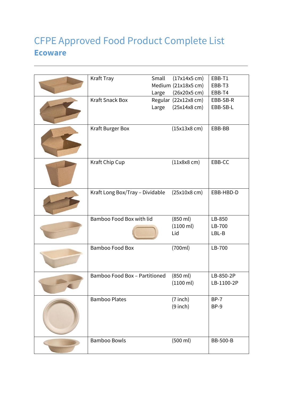### CFPE Approved Food Product Complete List **Ecoware**

| Kraft Tray                      | Small | $(17x14x5 \text{ cm})$ | EBB-T1          |
|---------------------------------|-------|------------------------|-----------------|
|                                 |       | Medium (21x18x5 cm)    | EBB-T3          |
|                                 | Large | (26x20x5 cm)           | EBB-T4          |
| <b>Kraft Snack Box</b>          |       | Regular (22x12x8 cm)   | EBB-SB-R        |
|                                 | Large | $(25x14x8$ cm $)$      | EBB-SB-L        |
| Kraft Burger Box                |       | $(15x13x8$ cm $)$      | EBB-BB          |
| Kraft Chip Cup                  |       | $(11x8x8$ cm $)$       | EBB-CC          |
| Kraft Long Box/Tray - Dividable |       | $(25x10x8$ cm $)$      | EBB-HBD-D       |
| Bamboo Food Box with lid        |       | (850 ml)               | LB-850          |
|                                 |       | (1100 ml)<br>Lid       | LB-700<br>LBL-B |
|                                 |       |                        |                 |
| Bamboo Food Box                 |       | (700ml)                | LB-700          |
| Bamboo Food Box - Partitioned   |       | (850 ml)               | LB-850-2P       |
|                                 |       | $(1100 \text{ ml})$    | LB-1100-2P      |
| <b>Bamboo Plates</b>            |       | $(7$ inch)             | $BP-7$          |
|                                 |       | $(9$ inch)             | BP-9            |
| <b>Bamboo Bowls</b>             |       | (500 ml)               | <b>BB-500-B</b> |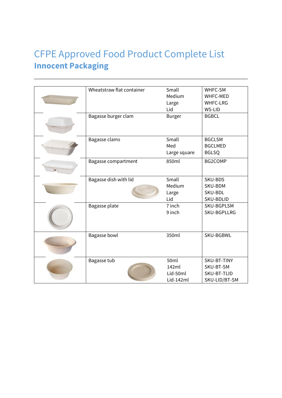### CFPE Approved Food Product Complete List **Innocent Packaging**

| Wheatstraw flat container | Small            | WHFC-SM         |
|---------------------------|------------------|-----------------|
|                           | Medium           | <b>WHFC-MED</b> |
|                           | Large            | <b>WHFC-LRG</b> |
|                           | Lid              | WS-LID          |
| Bagasse burger clam       | <b>Burger</b>    | <b>BGBCL</b>    |
|                           |                  |                 |
| Bagasse clams             | Small            | <b>BGCLSM</b>   |
|                           | Med              | <b>BGCLMED</b>  |
|                           | Large square     | <b>BGLSQ</b>    |
| Bagasse compartment       | 850ml            | BG2COMP         |
|                           |                  |                 |
| Bagasse dish with lid     | Small            | SKU-BDS         |
|                           | Medium           | SKU-BDM         |
|                           | Large            | SKU-BDL         |
|                           | Lid              | SKU-BDLID       |
| Bagasse plate             | 7 inch           | SKU-BGPLSM      |
|                           | 9 inch           | SKU-BGPLLRG     |
|                           |                  |                 |
|                           |                  |                 |
| <b>Bagasse bowl</b>       | 350ml            | SKU-BGBWL       |
|                           |                  |                 |
|                           |                  |                 |
| Bagasse tub               | 50 <sub>ml</sub> | SKU-BT-TINY     |
|                           | 142ml            | SKU-BT-SM       |
|                           | Lid-50ml         | SKU-BT-TLID     |
|                           | Lid-142ml        | SKU-LID/BT-SM   |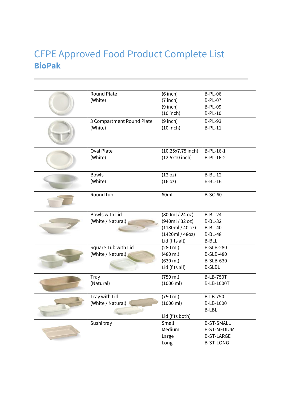### CFPE Approved Food Product Complete List **BioPak**

| Round Plate               | $(6$ inch $)$     | <b>B-PL-06</b>     |
|---------------------------|-------------------|--------------------|
| (White)                   | $(7$ inch)        | <b>B-PL-07</b>     |
|                           | $(9$ inch)        | <b>B-PL-09</b>     |
|                           | $(10$ inch)       | <b>B-PL-10</b>     |
| 3 Compartment Round Plate | $(9$ inch)        | <b>B-PL-93</b>     |
| (White)                   | $(10$ inch)       | $B-PL-11$          |
|                           |                   |                    |
|                           |                   |                    |
| <b>Oval Plate</b>         | (10.25x7.75 inch) | B-PL-16-1          |
| (White)                   | $(12.5x10$ inch)  | B-PL-16-2          |
|                           |                   |                    |
| <b>Bowls</b>              | (12 oz)           | $B-BL-12$          |
| (White)                   | (16 oz)           | $B-BL-16$          |
|                           |                   |                    |
| Round tub                 | 60ml              | <b>B-SC-60</b>     |
|                           |                   |                    |
| Bowls with Lid            | (800ml / 24 oz)   | $B-BL-24$          |
| (White / Natural)         | (940ml / 32 oz)   | <b>B-BL-32</b>     |
|                           | (1180ml/40 oz)    | <b>B-BL-40</b>     |
|                           | (1420ml / 48oz)   | <b>B-BL-48</b>     |
|                           | Lid (fits all)    | <b>B-BLL</b>       |
| Square Tub with Lid       | (280 ml)          | <b>B-SLB-280</b>   |
| (White / Natural)         | (480 ml)          | <b>B-SLB-480</b>   |
|                           | (630 ml)          | <b>B-SLB-630</b>   |
|                           | Lid (fits all)    | <b>B-SLBL</b>      |
| Tray                      | (750 ml)          | <b>B-LB-750T</b>   |
| (Natural)                 | (1000 ml)         | <b>B-LB-1000T</b>  |
|                           |                   |                    |
| Tray with Lid             | (750 ml)          | <b>B-LB-750</b>    |
| (White / Natural)         | (1000 ml)         | B-LB-1000          |
|                           |                   | <b>B-LBL</b>       |
|                           | Lid (fits both)   |                    |
| Sushi tray                | Small             | <b>B-ST-SMALL</b>  |
|                           | Medium            | <b>B-ST-MEDIUM</b> |
|                           | Large             | <b>B-ST-LARGE</b>  |
|                           | Long              | <b>B-ST-LONG</b>   |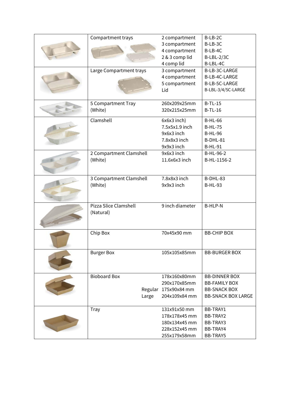| Compartment trays       | 2 compartment        | B-LB-2C                   |
|-------------------------|----------------------|---------------------------|
|                         | 3 compartment        | B-LB-3C                   |
|                         | 4 compartment        | B-LB-4C                   |
|                         | 2 & 3 comp lid       | <b>B-LBL-2/3C</b>         |
|                         | 4 comp lid           | B-LBL-4C                  |
| Large Compartment trays | 3 compartment        | B-LB-3C-LARGE             |
|                         | 4 compartment        | B-LB-4C-LARGE             |
|                         | 5 compartment        | B-LB-5C-LARGE             |
|                         | Lid                  | B-LBL-3/4/5C-LARGE        |
|                         |                      |                           |
| 5 Compartment Tray      | 260x209x25mm         | $B-TL-15$                 |
| (White)                 | 320x215x25mm         | $B-TL-16$                 |
|                         |                      |                           |
| Clamshell               | 6x6x3 inch)          | <b>B-HL-66</b>            |
|                         | 7.5x5x1.9 inch       | <b>B-HL-75</b>            |
|                         | 9x6x3 inch           | <b>B-HL-96</b>            |
|                         | 7.8x8x3 inch         | B-DHL-81                  |
|                         | 9x9x3 inch           | <b>B-HL-91</b>            |
| 2 Compartment Clamshell | 9x6x3 inch           | B-HL-96-2                 |
| (White)                 | 11.6x6x3 inch        | B-HL-1156-2               |
|                         |                      |                           |
|                         |                      |                           |
| 3 Compartment Clamshell | 7.8x8x3 inch         | B-DHL-83                  |
| (White)                 | 9x9x3 inch           | <b>B-HL-93</b>            |
|                         |                      |                           |
|                         |                      |                           |
| Pizza Slice Clamshell   | 9 inch diameter      | <b>B-HLP-N</b>            |
| (Natural)               |                      |                           |
|                         |                      |                           |
| Chip Box                |                      | <b>BB-CHIP BOX</b>        |
|                         | 70x45x90 mm          |                           |
|                         |                      |                           |
| <b>Burger Box</b>       | 105x105x85mm         | <b>BB-BURGER BOX</b>      |
|                         |                      |                           |
|                         |                      |                           |
|                         |                      |                           |
| <b>Bioboard Box</b>     | 178x160x80mm         | <b>BB-DINNER BOX</b>      |
|                         | 290x170x85mm         | <b>BB-FAMILY BOX</b>      |
|                         | Regular 175x90x84 mm | <b>BB-SNACK BOX</b>       |
| Large                   | 204x109x84 mm        | <b>BB-SNACK BOX LARGE</b> |
|                         |                      |                           |
| <b>Tray</b>             | 131x91x50 mm         | BB-TRAY1                  |
|                         | 178x178x45 mm        | BB-TRAY2                  |
|                         | 180x134x45 mm        | BB-TRAY3                  |
|                         | 228x152x45 mm        | BB-TRAY4                  |
|                         | 255x179x58mm         | BB-TRAY5                  |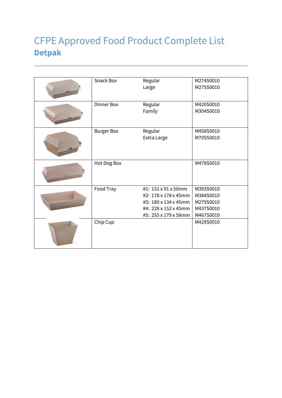### CFPE Approved Food Product Complete List **Detpak**

| Snack Box         | Regular<br>Large                                                                                                    | M274S0010<br>M275S0010                                        |
|-------------------|---------------------------------------------------------------------------------------------------------------------|---------------------------------------------------------------|
| <b>Dinner Box</b> | Regular<br>Family                                                                                                   | M420S0010<br>M304S0010                                        |
| <b>Burger Box</b> | Regular<br>Extra Large                                                                                              | M458S0010<br>M705S0010                                        |
| Hot Dog Box       |                                                                                                                     | M479S0010                                                     |
| Food Tray         | #1: 131 x 91 x 50mm<br>#2: 178 x 178 x 45mm<br>#3: 180 x 134 x 45mm<br>#4: 228 x 152 x 45mm<br>#5: 255 x 179 x 58mm | M393S0010<br>M384S0010<br>M279S0010<br>M437S0010<br>M467S0010 |
| Chip Cup          |                                                                                                                     | M429S0010                                                     |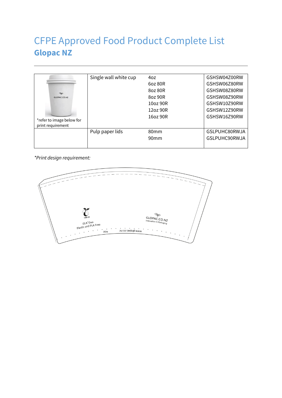### CFPE Approved Food Product Complete List **Glopac NZ**

|                           | Single wall white cup | 40z              | GSHSW04Z00RW  |
|---------------------------|-----------------------|------------------|---------------|
|                           |                       |                  |               |
|                           |                       | 6oz 80R          | GSHSW06Z80RW  |
| $\infty$                  |                       | 807 80R          | GSHSW08Z80RW  |
| GLOPAC.CO.NZ              |                       | 8oz 90R          | GSHSW08Z90RW  |
|                           |                       | 10oz 90R         | GSHSW10Z90RW  |
|                           |                       | 12oz90R          | GSHSW12Z90RW  |
|                           |                       | 1607 90R         | GSHSW16Z90RW  |
| *refer to image below for |                       |                  |               |
| print requirement         |                       |                  |               |
|                           | Pulp paper lids       | 80 <sub>mm</sub> | GSLPUHC80RWJA |
|                           |                       | 90 <sub>mm</sub> | GSLPUHC90RWJA |
|                           |                       |                  |               |

*\*Print design requirement:*